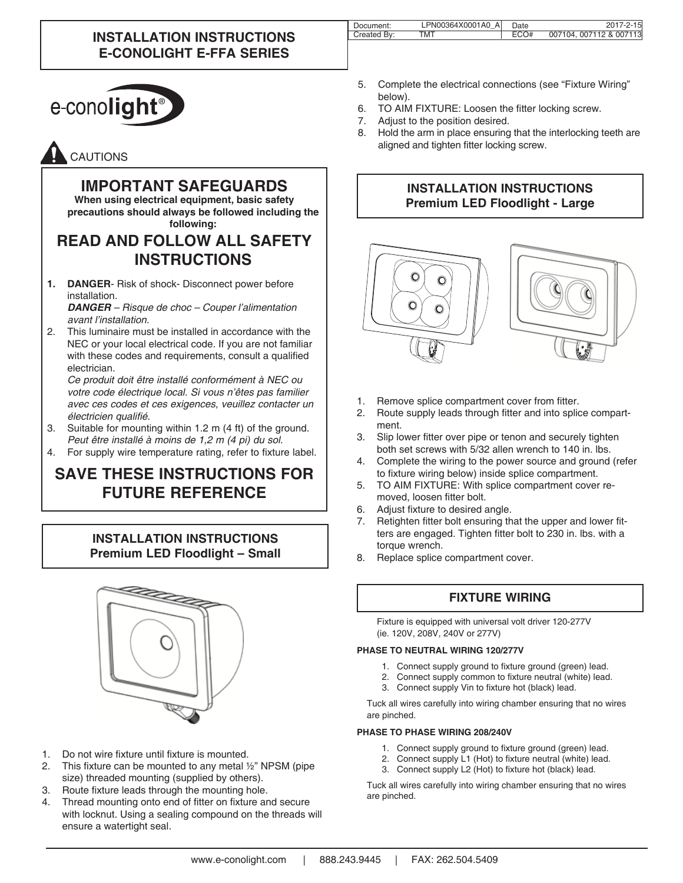### **INSTALLATION INSTRUCTIONS E-CONOLIGHT E-FFA SERIES**

| Document:   | LPN00364X0001A0 A | Date | 2017-2-15              |
|-------------|-------------------|------|------------------------|
| Created By: | тмт               | ECO# | 007104.007112 & 007113 |
|             |                   |      |                        |



# CAUTIONS

### **IMPORTANT SAFEGUARDS**

**When using electrical equipment, basic safety precautions should always be followed including the following:**

## **READ AND FOLLOW ALL SAFETY INSTRUCTIONS**

**1. DANGER**- Risk of shock- Disconnect power before installation.

*DANGER – Risque de choc – Couper l'alimentation avant l'installation.*

2. This luminaire must be installed in accordance with the NEC or your local electrical code. If you are not familiar with these codes and requirements, consult a qualified electrician.

*Ce produit doit être installé conformément à NEC ou votre code électrique local. Si vous n'êtes pas familier avec ces codes et ces exigences, veuillez contacter un*  électricien qualifié.

- 3. Suitable for mounting within 1.2 m (4 ft) of the ground. *Peut être installé à moins de 1,2 m (4 pi) du sol.*
- 4. For supply wire temperature rating, refer to fixture label.

# **SAVE THESE INSTRUCTIONS FOR FUTURE REFERENCE**

### **INSTALLATION INSTRUCTIONS Premium LED Floodlight – Small**



- 1. Do not wire fixture until fixture is mounted.
- 2. This fixture can be mounted to any metal  $\frac{1}{2}$ " NPSM (pipe size) threaded mounting (supplied by others).
- 3. Route fixture leads through the mounting hole.
- 4. Thread mounting onto end of fitter on fixture and secure with locknut. Using a sealing compound on the threads will ensure a watertight seal.
- 5. Complete the electrical connections (see "Fixture Wiring" below).
- 6. TO AIM FIXTURE: Loosen the fitter locking screw.
- 7. Adjust to the position desired.
- 8. Hold the arm in place ensuring that the interlocking teeth are aligned and tighten fitter locking screw.

#### **INSTALLATION INSTRUCTIONS Premium LED Floodlight - Large**



- 1. Remove splice compartment cover from fitter.
- 2. Route supply leads through fitter and into splice compartment.
- 3. Slip lower fitter over pipe or tenon and securely tighten both set screws with 5/32 allen wrench to 140 in. lbs.
- 4. Complete the wiring to the power source and ground (refer to fixture wiring below) inside splice compartment.
- 5. TO AIM FIXTURE: With splice compartment cover removed, loosen fitter bolt.
- 6. Adjust fixture to desired angle.
- 7. Retighten fitter bolt ensuring that the upper and lower fitters are engaged. Tighten fitter bolt to 230 in. lbs. with a torque wrench.
- 8. Replace splice compartment cover.

### **FIXTURE WIRING**

Fixture is equipped with universal volt driver 120-277V (ie. 120V, 208V, 240V or 277V)

#### **PHASE TO NEUTRAL WIRING 120/277V**

- 1. Connect supply ground to fixture ground (green) lead.
- 2. Connect supply common to fixture neutral (white) lead.
- 3. Connect supply Vin to fixture hot (black) lead.

Tuck all wires carefully into wiring chamber ensuring that no wires are pinched.

#### **PHASE TO PHASE WIRING 208/240V**

- 1. Connect supply ground to fixture ground (green) lead.<br>2. Connect supply L1 (Hot) to fixture peutral (white) lead.
- 2. Connect supply L1 (Hot) to fixture neutral (white) lead.
- 3. Connect supply L2 (Hot) to fixture hot (black) lead.

Tuck all wires carefully into wiring chamber ensuring that no wires are pinched.